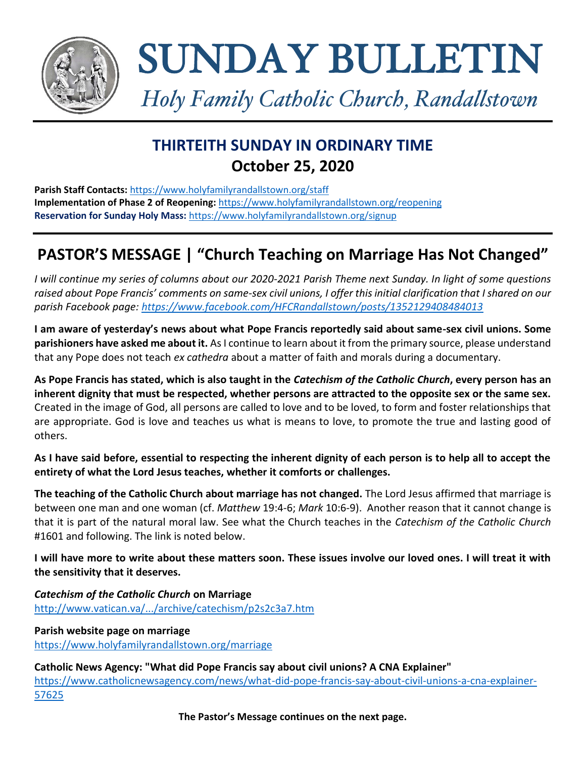

# SUNDAY BULLETIN

*Holy Family Catholic Church, Randallstown*

# **THIRTEITH SUNDAY IN ORDINARY TIME October 25, 2020**

**Parish Staff Contacts:** <https://www.holyfamilyrandallstown.org/staff> **Implementation of Phase 2 of Reopening:** <https://www.holyfamilyrandallstown.org/reopening> **Reservation for Sunday Holy Mass:** <https://www.holyfamilyrandallstown.org/signup>

## **PASTOR'S MESSAGE | "Church Teaching on Marriage Has Not Changed"**

*I will continue my series of columns about our 2020-2021 Parish Theme next Sunday. In light of some questions raised about Pope Francis' comments on same-sex civil unions, I offer this initial clarification that I shared on our parish Facebook page: <https://www.facebook.com/HFCRandallstown/posts/1352129408484013>*

**I am aware of yesterday's news about what Pope Francis reportedly said about same-sex civil unions. Some parishioners have asked me about it.** As I continue to learn about it from the primary source, please understand that any Pope does not teach *ex cathedra* about a matter of faith and morals during a documentary.

**As Pope Francis has stated, which is also taught in the** *Catechism of the Catholic Church***, every person has an inherent dignity that must be respected, whether persons are attracted to the opposite sex or the same sex.** Created in the image of God, all persons are called to love and to be loved, to form and foster relationships that are appropriate. God is love and teaches us what is means to love, to promote the true and lasting good of others.

**As I have said before, essential to respecting the inherent dignity of each person is to help all to accept the entirety of what the Lord Jesus teaches, whether it comforts or challenges.**

**The teaching of the Catholic Church about marriage has not changed.** The Lord Jesus affirmed that marriage is between one man and one woman (cf. *Matthew* 19:4-6; *Mark* 10:6-9). Another reason that it cannot change is that it is part of the natural moral law. See what the Church teaches in the *Catechism of the Catholic Church* #1601 and following. The link is noted below.

**I will have more to write about these matters soon. These issues involve our loved ones. I will treat it with the sensitivity that it deserves.**

*Catechism of the Catholic Church* **on Marriage** <http://www.vatican.va/.../archive/catechism/p2s2c3a7.htm>

**Parish website page on marriage** <https://www.holyfamilyrandallstown.org/marriage>

**Catholic News Agency: "What did Pope Francis say about civil unions? A CNA Explainer"**

[https://www.catholicnewsagency.com/news/what-did-pope-francis-say-about-civil-unions-a-cna-explainer-](https://www.catholicnewsagency.com/news/what-did-pope-francis-say-about-civil-unions-a-cna-explainer-57625)[57625](https://www.catholicnewsagency.com/news/what-did-pope-francis-say-about-civil-unions-a-cna-explainer-57625)

**The Pastor's Message continues on the next page.**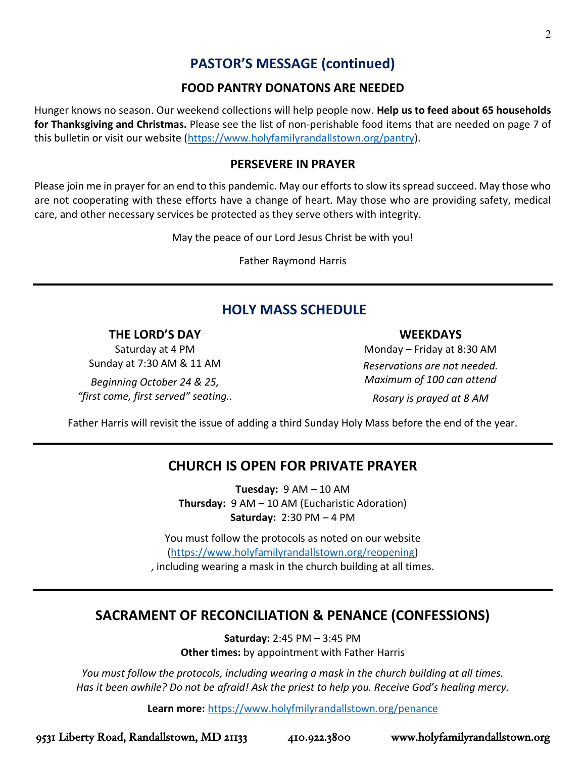## **PASTOR'S MESSAGE (continued)**

#### **FOOD PANTRY DONATONS ARE NEEDED**

Hunger knows no season. Our weekend collections will help people now. **Help us to feed about 65 households for Thanksgiving and Christmas.** Please see the list of non-perishable food items that are needed on page 7 of this bulletin or visit our website [\(https://www.holyfamilyrandallstown.org/pantry\)](https://www.holyfamilyrandallstown.org/pantry).

#### **PERSEVERE IN PRAYER**

Please join me in prayer for an end to this pandemic. May our efforts to slow its spread succeed. May those who are not cooperating with these efforts have a change of heart. May those who are providing safety, medical care, and other necessary services be protected as they serve others with integrity.

May the peace of our Lord Jesus Christ be with you!

Father Raymond Harris

## **HOLY MASS SCHEDULE**

#### **THE LORD'S DAY**

Saturday at 4 PM Sunday at 7:30 AM & 11 AM

*Beginning October 24 & 25, "first come, first served" seating..*

#### **WEEKDAYS**

Monday – Friday at 8:30 AM *Reservations are not needed. Maximum of 100 can attend Rosary is prayed at 8 AM*

Father Harris will revisit the issue of adding a third Sunday Holy Mass before the end of the year.

## **CHURCH IS OPEN FOR PRIVATE PRAYER**

**Tuesday:** 9 AM – 10 AM **Thursday:** 9 AM – 10 AM (Eucharistic Adoration) **Saturday:** 2:30 PM – 4 PM

You must follow the protocols as noted on our website [\(https://www.holyfamilyrandallstown.org/reopening\)](https://www.holyfamilyrandallstown.org/reopening) , including wearing a mask in the church building at all times.

## **SACRAMENT OF RECONCILIATION & PENANCE (CONFESSIONS)**

**Saturday:** 2:45 PM – 3:45 PM **Other times:** by appointment with Father Harris

*You must follow the protocols, including wearing a mask in the church building at all times. Has it been awhile? Do not be afraid! Ask the priest to help you. Receive God's healing mercy.*

**Learn more:** <https://www.holyfmilyrandallstown.org/penance>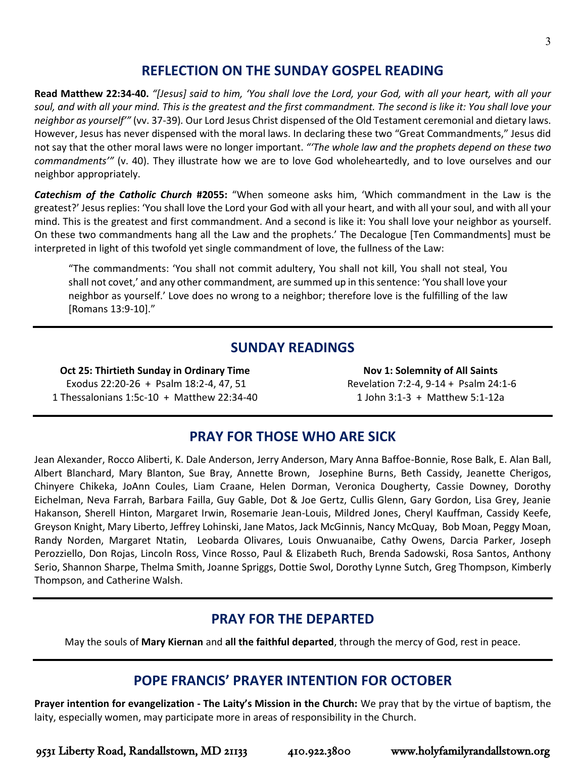## **REFLECTION ON THE SUNDAY GOSPEL READING**

**Read Matthew 22:34-40.** *"[Jesus] said to him, 'You shall love the Lord, your God, with all your heart, with all your soul, and with all your mind. This is the greatest and the first commandment. The second is like it: You shall love your neighbor as yourself'"* (vv. 37-39)*.* Our Lord Jesus Christ dispensed of the Old Testament ceremonial and dietary laws. However, Jesus has never dispensed with the moral laws. In declaring these two "Great Commandments," Jesus did not say that the other moral laws were no longer important. *"'The whole law and the prophets depend on these two commandments'"* (v. 40). They illustrate how we are to love God wholeheartedly, and to love ourselves and our neighbor appropriately.

*Catechism of the Catholic Church* **#2055:** "When someone asks him, 'Which commandment in the Law is the greatest?' Jesus replies: 'You shall love the Lord your God with all your heart, and with all your soul, and with all your mind. This is the greatest and first commandment. And a second is like it: You shall love your neighbor as yourself. On these two commandments hang all the Law and the prophets.' The Decalogue [Ten Commandments] must be interpreted in light of this twofold yet single commandment of love, the fullness of the Law:

"The commandments: 'You shall not commit adultery, You shall not kill, You shall not steal, You shall not covet,' and any other commandment, are summed up in this sentence: 'You shall love your neighbor as yourself.' Love does no wrong to a neighbor; therefore love is the fulfilling of the law [Romans 13:9-10]."

## **SUNDAY READINGS**

**Oct 25: Thirtieth Sunday in Ordinary Time** Exodus 22:20-26 + Psalm 18:2-4, 47, 51 1 Thessalonians 1:5c-10 + Matthew 22:34-40

**Nov 1: Solemnity of All Saints** Revelation 7:2-4, 9-14 + Psalm 24:1-6 1 John 3:1-3 + Matthew 5:1-12a

## **PRAY FOR THOSE WHO ARE SICK**

Jean Alexander, Rocco Aliberti, K. Dale Anderson, Jerry Anderson, Mary Anna Baffoe-Bonnie, Rose Balk, E. Alan Ball, Albert Blanchard, Mary Blanton, Sue Bray, Annette Brown, Josephine Burns, Beth Cassidy, Jeanette Cherigos, Chinyere Chikeka, JoAnn Coules, Liam Craane, Helen Dorman, Veronica Dougherty, Cassie Downey, Dorothy Eichelman, Neva Farrah, Barbara Failla, Guy Gable, Dot & Joe Gertz, Cullis Glenn, Gary Gordon, Lisa Grey, Jeanie Hakanson, Sherell Hinton, Margaret Irwin, Rosemarie Jean-Louis, Mildred Jones, Cheryl Kauffman, Cassidy Keefe, Greyson Knight, Mary Liberto, Jeffrey Lohinski, Jane Matos, Jack McGinnis, Nancy McQuay, Bob Moan, Peggy Moan, Randy Norden, Margaret Ntatin, Leobarda Olivares, Louis Onwuanaibe, Cathy Owens, Darcia Parker, Joseph Perozziello, Don Rojas, Lincoln Ross, Vince Rosso, Paul & Elizabeth Ruch, Brenda Sadowski, Rosa Santos, Anthony Serio, Shannon Sharpe, Thelma Smith, Joanne Spriggs, Dottie Swol, Dorothy Lynne Sutch, Greg Thompson, Kimberly Thompson, and Catherine Walsh.

## **PRAY FOR THE DEPARTED**

May the souls of **Mary Kiernan** and **all the faithful departed**, through the mercy of God, rest in peace.

## **POPE FRANCIS' PRAYER INTENTION FOR OCTOBER**

**Prayer intention for evangelization ‐ The Laity's Mission in the Church:** We pray that by the virtue of baptism, the laity, especially women, may participate more in areas of responsibility in the Church.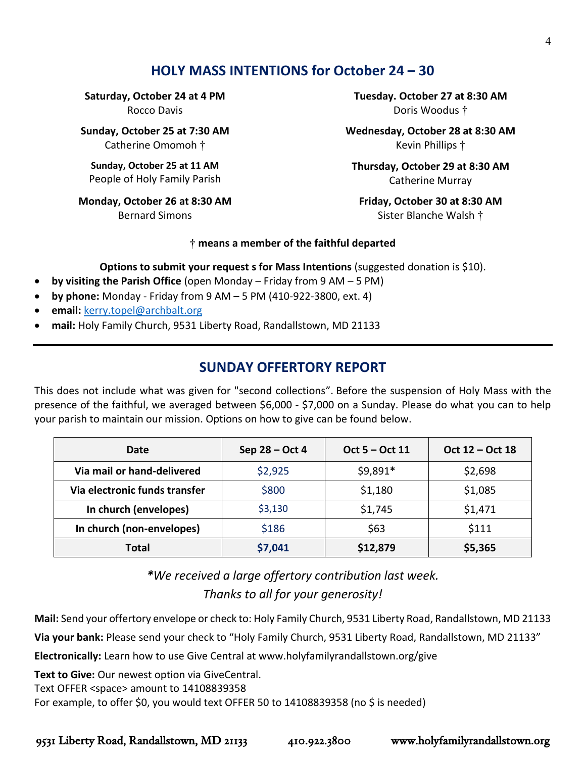## **HOLY MASS INTENTIONS for October 24 – 30**

**Saturday, October 24 at 4 PM** Rocco Davis

**Sunday, October 25 at 7:30 AM** Catherine Omomoh †

**Sunday, October 25 at 11 AM** People of Holy Family Parish

**Monday, October 26 at 8:30 AM** Bernard Simons

**Tuesday. October 27 at 8:30 AM** Doris Woodus †

**Wednesday, October 28 at 8:30 AM**  Kevin Phillips †

**Thursday, October 29 at 8:30 AM** Catherine Murray

**Friday, October 30 at 8:30 AM** Sister Blanche Walsh †

#### **† means a member of the faithful departed**

**Options to submit your request s for Mass Intentions** (suggested donation is \$10).

- **by visiting the Parish Office** (open Monday Friday from 9 AM 5 PM)
- **by phone:** Monday Friday from 9 AM 5 PM (410-922-3800, ext. 4)
- **email:** [kerry.topel@archbalt.org](mailto:kerry.topel@archbalt.org)
- **mail:** Holy Family Church, 9531 Liberty Road, Randallstown, MD 21133

## **SUNDAY OFFERTORY REPORT**

This does not include what was given for "second collections". Before the suspension of Holy Mass with the presence of the faithful, we averaged between \$6,000 - \$7,000 on a Sunday. Please do what you can to help your parish to maintain our mission. Options on how to give can be found below.

| Date                          | Sep $28 - Oct 4$ | Oct 5 – Oct 11 | Oct 12 - Oct 18 |
|-------------------------------|------------------|----------------|-----------------|
| Via mail or hand-delivered    | \$2,925          | $$9,891*$      | \$2,698         |
| Via electronic funds transfer | \$800            | \$1,180        | \$1,085         |
| In church (envelopes)         | \$3,130          | \$1,745        | \$1,471         |
| In church (non-envelopes)     | \$186            | \$63           | \$111           |
| Total                         | \$7,041          | \$12,879       | \$5,365         |

*\*We received a large offertory contribution last week. Thanks to all for your generosity!* 

**Mail:** Send your offertory envelope or check to: Holy Family Church, 9531 Liberty Road, Randallstown, MD 21133 **Via your bank:** Please send your check to "Holy Family Church, 9531 Liberty Road, Randallstown, MD 21133"

**Electronically:** Learn how to use Give Central at www.holyfamilyrandallstown.org/give

**Text to Give:** Our newest option via GiveCentral.

Text OFFER <space> amount to 14108839358

For example, to offer \$0, you would text OFFER 50 to 14108839358 (no \$ is needed)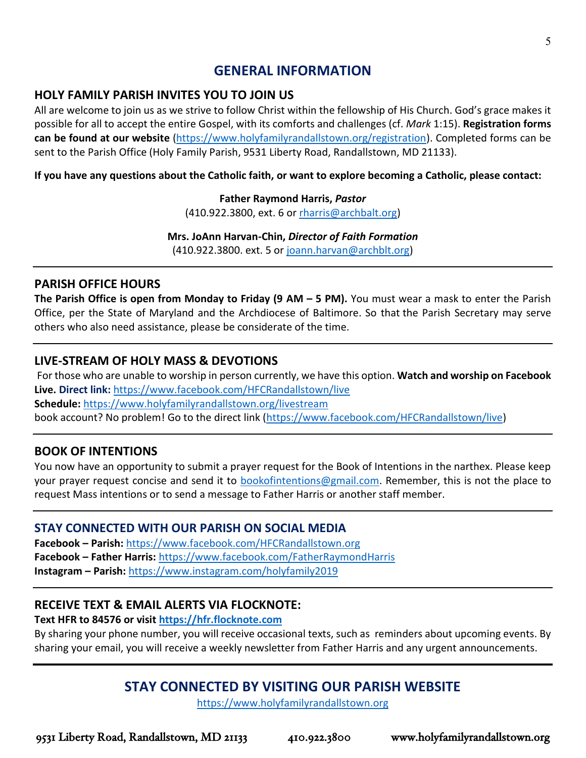## **GENERAL INFORMATION**

## **HOLY FAMILY PARISH INVITES YOU TO JOIN US**

All are welcome to join us as we strive to follow Christ within the fellowship of His Church. God's grace makes it possible for all to accept the entire Gospel, with its comforts and challenges (cf. *Mark* 1:15). **Registration forms can be found at our website** [\(https://www.holyfamilyrandallstown.org/registration\)](https://www.holyfamilyrandallstown.org/registration). Completed forms can be sent to the Parish Office (Holy Family Parish, 9531 Liberty Road, Randallstown, MD 21133).

**If you have any questions about the Catholic faith, or want to explore becoming a Catholic, please contact:**

#### **Father Raymond Harris,** *Pastor*

(410.922.3800, ext. 6 o[r rharris@archbalt.org\)](mailto:rharris@archbalt.org)

#### **Mrs. JoAnn Harvan-Chin,** *Director of Faith Formation*

(410.922.3800. ext. 5 or [joann.harvan@archblt.org\)](mailto:joann.harvan@archblt.org)

#### **PARISH OFFICE HOURS**

**The Parish Office is open from Monday to Friday (9 AM – 5 PM).** You must wear a mask to enter the Parish Office, per the State of Maryland and the Archdiocese of Baltimore. So that the Parish Secretary may serve others who also need assistance, please be considerate of the time.

#### **LIVE-STREAM OF HOLY MASS & DEVOTIONS**

For those who are unable to worship in person currently, we have this option. **Watch and worship on Facebook Live. Direct link:** <https://www.facebook.com/HFCRandallstown/live> **Schedule:** <https://www.holyfamilyrandallstown.org/livestream> book account? No problem! Go to the direct link [\(https://www.facebook.com/HFCRandallstown/live\)](https://www.facebook.com/HFCRandallstown/live)

## **BOOK OF INTENTIONS**

You now have an opportunity to submit a prayer request for the Book of Intentions in the narthex. Please keep your prayer request concise and send it to [bookofintentions@gmail.com.](mailto:bookofintentions@gmail.com) Remember, this is not the place to request Mass intentions or to send a message to Father Harris or another staff member.

#### **STAY CONNECTED WITH OUR PARISH ON SOCIAL MEDIA**

**Facebook – Parish:** <https://www.facebook.com/HFCRandallstown.org> **Facebook – Father Harris:** <https://www.facebook.com/FatherRaymondHarris> **Instagram – Parish:** <https://www.instagram.com/holyfamily2019>

## **RECEIVE TEXT & EMAIL ALERTS VIA FLOCKNOTE:**

#### **Text HFR to 84576 or visit [https://hfr.flocknote.com](https://hfr.flocknote.com/)**

By sharing your phone number, you will receive occasional texts, such as reminders about upcoming events. By sharing your email, you will receive a weekly newsletter from Father Harris and any urgent announcements.

## **STAY CONNECTED BY VISITING OUR PARISH WEBSITE**

[https://www.holyfamilyrandallstown.org](https://www.holyfamilyrandallstown.org/)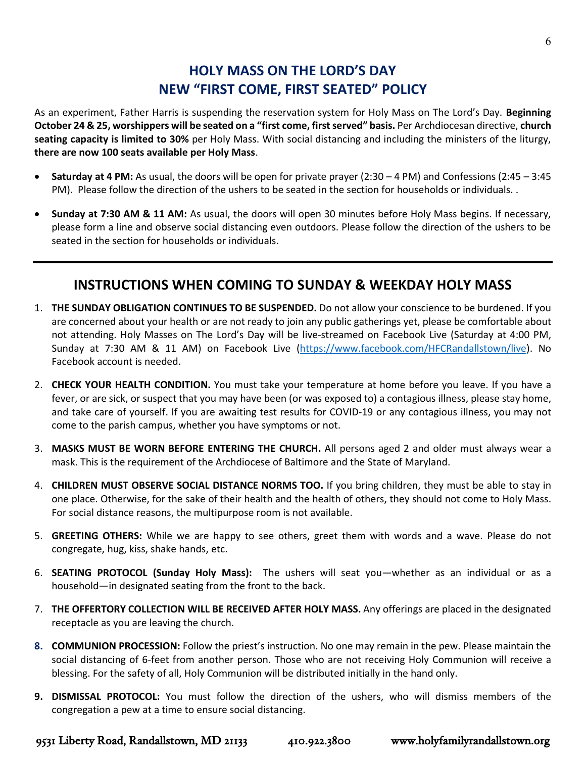## **HOLY MASS ON THE LORD'S DAY NEW "FIRST COME, FIRST SEATED" POLICY**

As an experiment, Father Harris is suspending the reservation system for Holy Mass on The Lord's Day. **Beginning October 24 & 25, worshippers will be seated on a "first come, first served" basis.** Per Archdiocesan directive, **church seating capacity is limited to 30%** per Holy Mass. With social distancing and including the ministers of the liturgy, **there are now 100 seats available per Holy Mass**.

- **Saturday at 4 PM:** As usual, the doors will be open for private prayer (2:30 4 PM) and Confessions (2:45 3:45 PM). Please follow the direction of the ushers to be seated in the section for households or individuals. .
- **Sunday at 7:30 AM & 11 AM:** As usual, the doors will open 30 minutes before Holy Mass begins. If necessary, please form a line and observe social distancing even outdoors. Please follow the direction of the ushers to be seated in the section for households or individuals.

## **INSTRUCTIONS WHEN COMING TO SUNDAY & WEEKDAY HOLY MASS**

- 1. **THE SUNDAY OBLIGATION CONTINUES TO BE SUSPENDED.** Do not allow your conscience to be burdened. If you are concerned about your health or are not ready to join any public gatherings yet, please be comfortable about not attending. Holy Masses on The Lord's Day will be live-streamed on Facebook Live (Saturday at 4:00 PM, Sunday at 7:30 AM & 11 AM) on Facebook Live [\(https://www.facebook.com/HFCRandallstown/live\)](https://www.facebook.com/HFCRandallstown/live). No Facebook account is needed.
- 2. **CHECK YOUR HEALTH CONDITION.** You must take your temperature at home before you leave. If you have a fever, or are sick, or suspect that you may have been (or was exposed to) a contagious illness, please stay home, and take care of yourself. If you are awaiting test results for COVID-19 or any contagious illness, you may not come to the parish campus, whether you have symptoms or not.
- 3. **MASKS MUST BE WORN BEFORE ENTERING THE CHURCH.** All persons aged 2 and older must always wear a mask. This is the requirement of the Archdiocese of Baltimore and the State of Maryland.
- 4. **CHILDREN MUST OBSERVE SOCIAL DISTANCE NORMS TOO.** If you bring children, they must be able to stay in one place. Otherwise, for the sake of their health and the health of others, they should not come to Holy Mass. For social distance reasons, the multipurpose room is not available.
- 5. **GREETING OTHERS:** While we are happy to see others, greet them with words and a wave. Please do not congregate, hug, kiss, shake hands, etc.
- 6. **SEATING PROTOCOL (Sunday Holy Mass):** The ushers will seat you—whether as an individual or as a household—in designated seating from the front to the back.
- 7. **THE OFFERTORY COLLECTION WILL BE RECEIVED AFTER HOLY MASS.** Any offerings are placed in the designated receptacle as you are leaving the church.
- **8. COMMUNION PROCESSION:** Follow the priest's instruction. No one may remain in the pew. Please maintain the social distancing of 6-feet from another person. Those who are not receiving Holy Communion will receive a blessing. For the safety of all, Holy Communion will be distributed initially in the hand only.
- **9. DISMISSAL PROTOCOL:** You must follow the direction of the ushers, who will dismiss members of the congregation a pew at a time to ensure social distancing.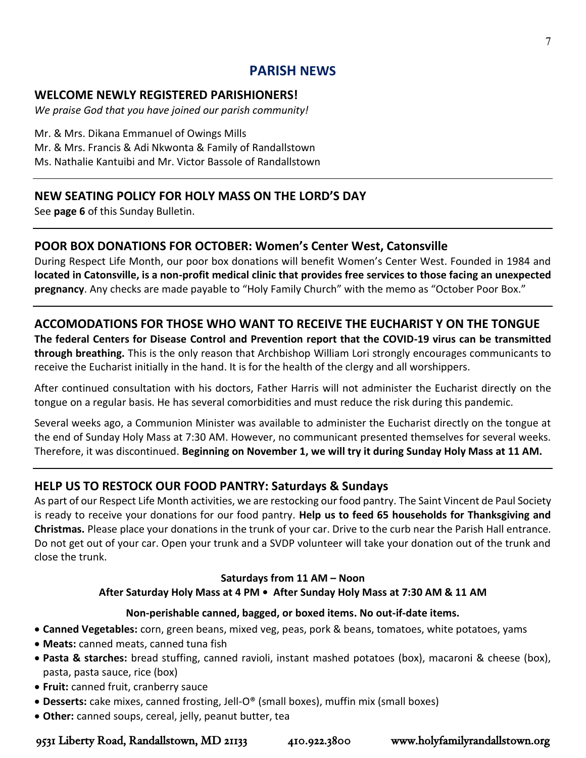## **PARISH NEWS**

#### **WELCOME NEWLY REGISTERED PARISHIONERS!**

*We praise God that you have joined our parish community!*

Mr. & Mrs. Dikana Emmanuel of Owings Mills Mr. & Mrs. Francis & Adi Nkwonta & Family of Randallstown Ms. Nathalie Kantuibi and Mr. Victor Bassole of Randallstown

## **NEW SEATING POLICY FOR HOLY MASS ON THE LORD'S DAY**

See **page 6** of this Sunday Bulletin.

## **POOR BOX DONATIONS FOR OCTOBER: Women's Center West, Catonsville**

During Respect Life Month, our poor box donations will benefit Women's Center West. Founded in 1984 and **located in Catonsville, is a non-profit medical clinic that provides free services to those facing an unexpected pregnancy**. Any checks are made payable to "Holy Family Church" with the memo as "October Poor Box."

## **ACCOMODATIONS FOR THOSE WHO WANT TO RECEIVE THE EUCHARIST Y ON THE TONGUE**

**The federal Centers for Disease Control and Prevention report that the COVID-19 virus can be transmitted through breathing.** This is the only reason that Archbishop William Lori strongly encourages communicants to receive the Eucharist initially in the hand. It is for the health of the clergy and all worshippers.

After continued consultation with his doctors, Father Harris will not administer the Eucharist directly on the tongue on a regular basis. He has several comorbidities and must reduce the risk during this pandemic.

Several weeks ago, a Communion Minister was available to administer the Eucharist directly on the tongue at the end of Sunday Holy Mass at 7:30 AM. However, no communicant presented themselves for several weeks. Therefore, it was discontinued. **Beginning on November 1, we will try it during Sunday Holy Mass at 11 AM.**

## **HELP US TO RESTOCK OUR FOOD PANTRY: Saturdays & Sundays**

As part of our Respect Life Month activities, we are restocking our food pantry. The Saint Vincent de Paul Society is ready to receive your donations for our food pantry. **Help us to feed 65 households for Thanksgiving and Christmas.** Please place your donations in the trunk of your car. Drive to the curb near the Parish Hall entrance. Do not get out of your car. Open your trunk and a SVDP volunteer will take your donation out of the trunk and close the trunk.

## **Saturdays from 11 AM – Noon**

## **After Saturday Holy Mass at 4 PM • After Sunday Holy Mass at 7:30 AM & 11 AM**

## **Non-perishable canned, bagged, or boxed items. No out-if-date items.**

- **Canned Vegetables:** corn, green beans, mixed veg, peas, pork & beans, tomatoes, white potatoes, yams
- **Meats:** canned meats, canned tuna fish
- **Pasta & starches:** bread stuffing, canned ravioli, instant mashed potatoes (box), macaroni & cheese (box), pasta, pasta sauce, rice (box)
- **Fruit:** canned fruit, cranberry sauce
- **Desserts:** cake mixes, canned frosting, Jell-O® (small boxes), muffin mix (small boxes)
- **Other:** canned soups, cereal, jelly, peanut butter, tea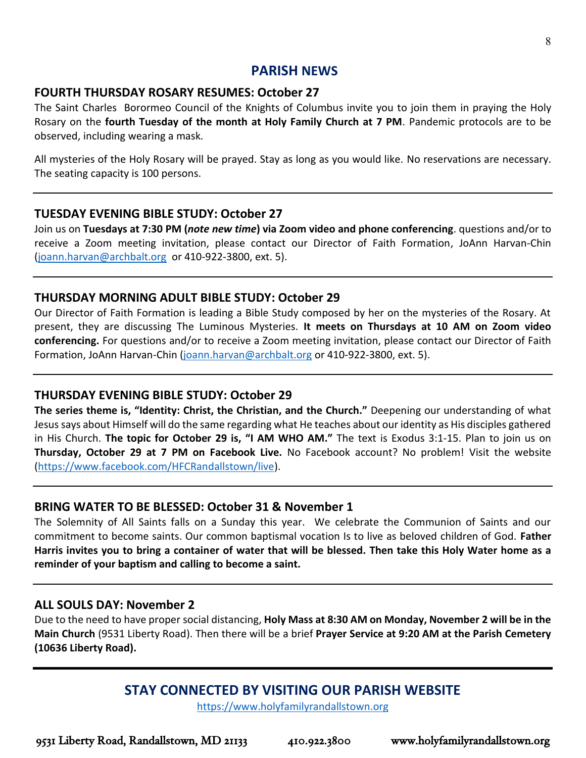## **PARISH NEWS**

#### **FOURTH THURSDAY ROSARY RESUMES: October 27**

The Saint Charles Borormeo Council of the Knights of Columbus invite you to join them in praying the Holy Rosary on the **fourth Tuesday of the month at Holy Family Church at 7 PM**. Pandemic protocols are to be observed, including wearing a mask.

All mysteries of the Holy Rosary will be prayed. Stay as long as you would like. No reservations are necessary. The seating capacity is 100 persons.

#### **TUESDAY EVENING BIBLE STUDY: October 27**

Join us on **Tuesdays at 7:30 PM (***note new time***) via Zoom video and phone conferencing**. questions and/or to receive a Zoom meeting invitation, please contact our Director of Faith Formation, JoAnn Harvan-Chin [\(joann.harvan@archbalt.org](mailto:joann.harvan@archbalt.org) or 410-922-3800, ext. 5).

#### **THURSDAY MORNING ADULT BIBLE STUDY: October 29**

Our Director of Faith Formation is leading a Bible Study composed by her on the mysteries of the Rosary. At present, they are discussing The Luminous Mysteries. **It meets on Thursdays at 10 AM on Zoom video conferencing.** For questions and/or to receive a Zoom meeting invitation, please contact our Director of Faith Formation, JoAnn Harvan-Chin [\(joann.harvan@archbalt.org](mailto:joann.harvan@archbalt.org) or 410-922-3800, ext. 5).

#### **THURSDAY EVENING BIBLE STUDY: October 29**

**The series theme is, "Identity: Christ, the Christian, and the Church."** Deepening our understanding of what Jesus says about Himself will do the same regarding what He teaches about our identity as His disciples gathered in His Church. **The topic for October 29 is, "I AM WHO AM."** The text is Exodus 3:1-15. Plan to join us on **Thursday, October 29 at 7 PM on Facebook Live.** No Facebook account? No problem! Visit the website [\(https://www.facebook.com/HFCRandallstown/live\)](https://www.facebook.com/HFCRandallstown/live).

#### **BRING WATER TO BE BLESSED: October 31 & November 1**

The Solemnity of All Saints falls on a Sunday this year. We celebrate the Communion of Saints and our commitment to become saints. Our common baptismal vocation Is to live as beloved children of God. **Father Harris invites you to bring a container of water that will be blessed. Then take this Holy Water home as a reminder of your baptism and calling to become a saint.**

#### **ALL SOULS DAY: November 2**

Due to the need to have proper social distancing, **Holy Mass at 8:30 AM on Monday, November 2 will be in the Main Church** (9531 Liberty Road). Then there will be a brief **Prayer Service at 9:20 AM at the Parish Cemetery (10636 Liberty Road).**

## **STAY CONNECTED BY VISITING OUR PARISH WEBSITE**

[https://www.holyfamilyrandallstown.org](https://www.holyfamilyrandallstown.org/)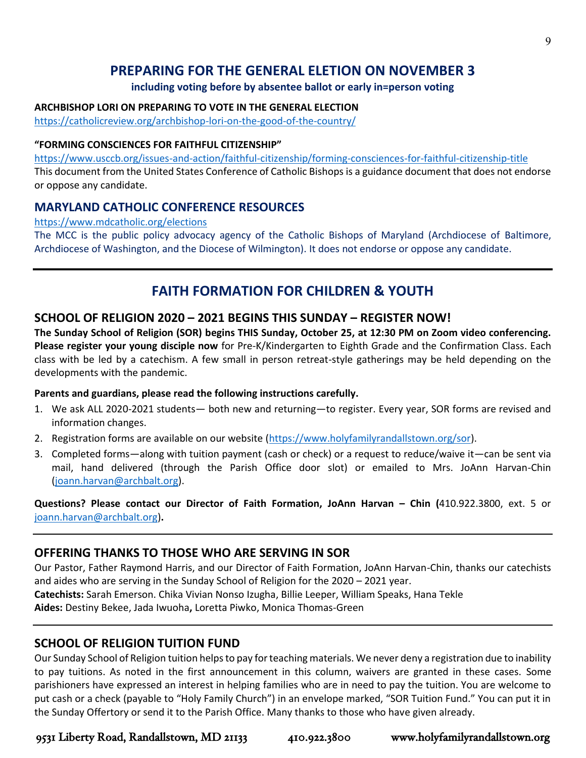## **PREPARING FOR THE GENERAL ELETION ON NOVEMBER 3**

#### **including voting before by absentee ballot or early in=person voting**

#### **ARCHBISHOP LORI ON PREPARING TO VOTE IN THE GENERAL ELECTION**

<https://catholicreview.org/archbishop-lori-on-the-good-of-the-country/>

#### **"FORMING CONSCIENCES FOR FAITHFUL CITIZENSHIP"**

<https://www.usccb.org/issues-and-action/faithful-citizenship/forming-consciences-for-faithful-citizenship-title> This document from the United States Conference of Catholic Bishops is a guidance document that does not endorse or oppose any candidate.

#### **MARYLAND CATHOLIC CONFERENCE RESOURCES**

#### <https://www.mdcatholic.org/elections>

The MCC is the public policy advocacy agency of the Catholic Bishops of Maryland (Archdiocese of Baltimore, Archdiocese of Washington, and the Diocese of Wilmington). It does not endorse or oppose any candidate.

## **FAITH FORMATION FOR CHILDREN & YOUTH**

#### **SCHOOL OF RELIGION 2020 – 2021 BEGINS THIS SUNDAY – REGISTER NOW!**

**The Sunday School of Religion (SOR) begins THIS Sunday, October 25, at 12:30 PM on Zoom video conferencing. Please register your young disciple now** for Pre-K/Kindergarten to Eighth Grade and the Confirmation Class. Each class with be led by a catechism. A few small in person retreat-style gatherings may be held depending on the developments with the pandemic.

#### **Parents and guardians, please read the following instructions carefully.**

- 1. We ask ALL 2020-2021 students— both new and returning—to register. Every year, SOR forms are revised and information changes.
- 2. Registration forms are available on our website [\(https://www.holyfamilyrandallstown.org/sor\)](https://www.holyfamilyrandallstown.org/sor).
- 3. Completed forms—along with tuition payment (cash or check) or a request to reduce/waive it—can be sent via mail, hand delivered (through the Parish Office door slot) or emailed to Mrs. JoAnn Harvan-Chin [\(joann.harvan@archbalt.org\)](mailto:joann.harvan@archbalt.org).

**Questions? Please contact our Director of Faith Formation, JoAnn Harvan – Chin (**410.922.3800, ext. 5 or [joann.harvan@archbalt.org\)](mailto:joann.harvan@archbalt.org)**.** 

#### **OFFERING THANKS TO THOSE WHO ARE SERVING IN SOR**

Our Pastor, Father Raymond Harris, and our Director of Faith Formation, JoAnn Harvan-Chin, thanks our catechists and aides who are serving in the Sunday School of Religion for the 2020 – 2021 year. **Catechists:** Sarah Emerson. Chika Vivian Nonso Izugha, Billie Leeper, William Speaks, Hana Tekle

**Aides:** Destiny Bekee, Jada Iwuoha**,** Loretta Piwko, Monica Thomas-Green

#### **SCHOOL OF RELIGION TUITION FUND**

Our Sunday School of Religion tuition helps to pay for teaching materials. We never deny a registration due to inability to pay tuitions. As noted in the first announcement in this column, waivers are granted in these cases. Some parishioners have expressed an interest in helping families who are in need to pay the tuition. You are welcome to put cash or a check (payable to "Holy Family Church") in an envelope marked, "SOR Tuition Fund." You can put it in the Sunday Offertory or send it to the Parish Office. Many thanks to those who have given already.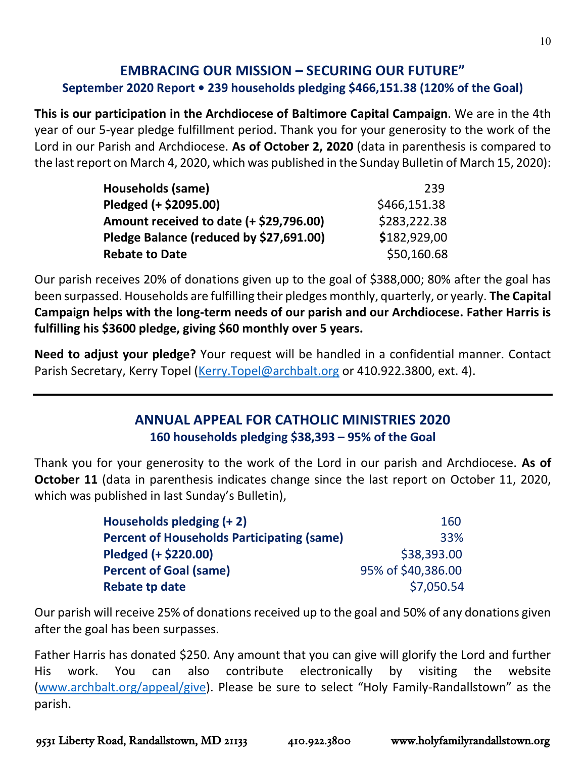## **EMBRACING OUR MISSION – SECURING OUR FUTURE" September 2020 Report • 239 households pledging \$466,151.38 (120% of the Goal)**

**This is our participation in the Archdiocese of Baltimore Capital Campaign**. We are in the 4th year of our 5-year pledge fulfillment period. Thank you for your generosity to the work of the Lord in our Parish and Archdiocese. **As of October 2, 2020** (data in parenthesis is compared to the last report on March 4, 2020, which was published in the Sunday Bulletin of March 15, 2020):

| Households (same)                       | 239          |
|-----------------------------------------|--------------|
| Pledged (+ \$2095.00)                   | \$466,151.38 |
| Amount received to date (+ \$29,796.00) | \$283,222.38 |
| Pledge Balance (reduced by \$27,691.00) | \$182,929,00 |
| <b>Rebate to Date</b>                   | \$50,160.68  |

Our parish receives 20% of donations given up to the goal of \$388,000; 80% after the goal has been surpassed. Households are fulfilling their pledges monthly, quarterly, or yearly. **The Capital Campaign helps with the long-term needs of our parish and our Archdiocese. Father Harris is fulfilling his \$3600 pledge, giving \$60 monthly over 5 years.**

**Need to adjust your pledge?** Your request will be handled in a confidential manner. Contact Parish Secretary, Kerry Topel [\(Kerry.Topel@archbalt.org](mailto:Kerry.Topel@archbalt.org) or 410.922.3800, ext. 4).

## **ANNUAL APPEAL FOR CATHOLIC MINISTRIES 2020 160 households pledging \$38,393 – 95% of the Goal**

Thank you for your generosity to the work of the Lord in our parish and Archdiocese. **As of October 11** (data in parenthesis indicates change since the last report on October 11, 2020, which was published in last Sunday's Bulletin),

| Households pledging $(+ 2)$                       | 160                |
|---------------------------------------------------|--------------------|
| <b>Percent of Households Participating (same)</b> | 33%                |
| Pledged (+ \$220.00)                              | \$38,393.00        |
| <b>Percent of Goal (same)</b>                     | 95% of \$40,386.00 |
| <b>Rebate tp date</b>                             | \$7,050.54         |

Our parish will receive 25% of donations received up to the goal and 50% of any donations given after the goal has been surpasses.

Father Harris has donated \$250. Any amount that you can give will glorify the Lord and further His work. You can also contribute electronically by visiting the website [\(www.archbalt.org/appeal/give\)](http://www.archbalt.org/appeal/give). Please be sure to select "Holy Family-Randallstown" as the parish.